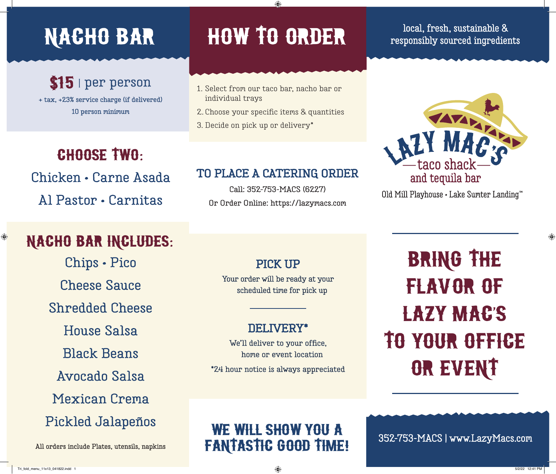### \$15 | **per person**

**+ tax, +23% service charge (if delivered) 10 person minimum**

### CHOOSE TWO:

**Chicken • Carne Asada Al Pastor • Carnitas**

## NACHO BAR INCLUDES:

**Chips • Pico Cheese Sauce Shredded Cheese House Salsa Black Beans Avocado Salsa Mexican Crema Pickled Jalapeños**

**All orders include Plates, utensils, napkins**

# NACHO BAR HOW TO ORDER

◈

- **1. Select from our taco bar, nacho bar or individual trays**
- **2. Choose your specific items & quantities**
- **3. Decide on pick up or delivery\***

#### **TO PLACE A CATERING ORDER**

**Call: 352-753-MACS (6227) Or Order Online: https://lazymacs.com**

#### **local, fresh, sustainable & responsibly sourced ingredients**



Old Mill Playhouse · Lake Sumter Landing<sup>™</sup>

#### **PICK UP Your order will be ready at your scheduled time for pick up**

#### **DELIVERY\***

**We'll deliver to your office, home or event location \*24 hour notice is always appreciated**

# BRING THE FLAVOR OF LAZY MAC'S TO YOUR OFFICE OR EVENT

#### WE WILL SHOW YOU A fantastic good time!

**352-753-MACS | www.LazyMacs.com**

 $\bigoplus$